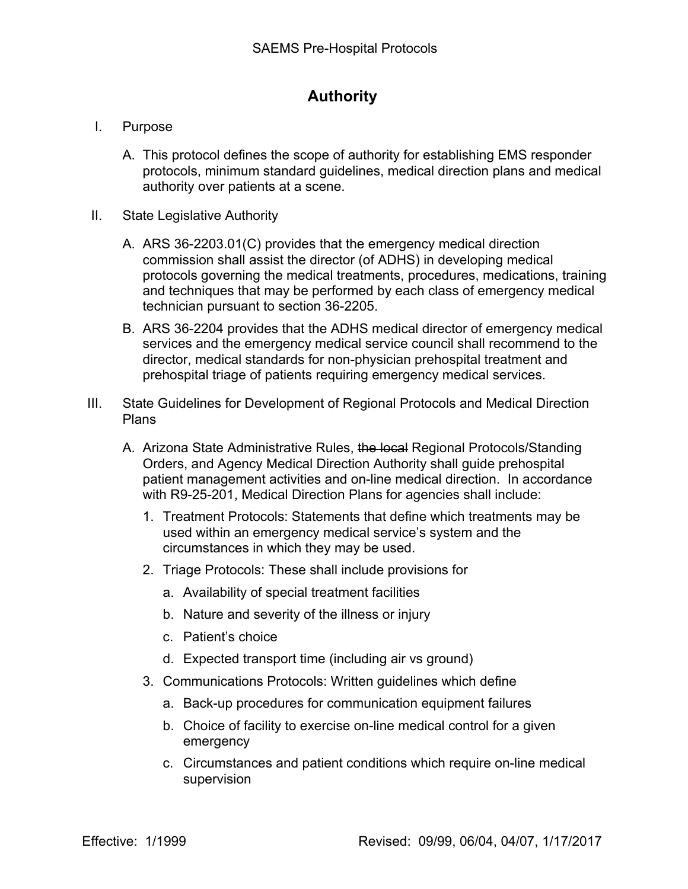## **Authority**

- I. Purpose
	- A. This protocol defines the scope of authority for establishing EMS responder protocols, minimum standard guidelines, medical direction plans and medical authority over patients at a scene.
- II. State Legislative Authority
	- A. ARS 36-2203.01(C) provides that the emergency medical direction commission shall assist the director (of ADHS) in developing medical protocols governing the medical treatments, procedures, medications, training and techniques that may be performed by each class of emergency medical technician pursuant to section 36-2205.
	- B. ARS 36-2204 provides that the ADHS medical director of emergency medical services and the emergency medical service council shall recommend to the director, medical standards for non-physician prehospital treatment and prehospital triage of patients requiring emergency medical services.
- III. State Guidelines for Development of Regional Protocols and Medical Direction Plans
	- A. Arizona State Administrative Rules, the local Regional Protocols/Standing Orders, and Agency Medical Direction Authority shall guide prehospital patient management activities and on-line medical direction. In accordance with R9-25-201, Medical Direction Plans for agencies shall include:
		- 1. Treatment Protocols: Statements that define which treatments may be used within an emergency medical service's system and the circumstances in which they may be used.
		- 2. Triage Protocols: These shall include provisions for
			- a. Availability of special treatment facilities
			- b. Nature and severity of the illness or injury
			- c. Patient's choice
			- d. Expected transport time (including air vs ground)
		- 3. Communications Protocols: Written guidelines which define
			- a. Back-up procedures for communication equipment failures
			- b. Choice of facility to exercise on-line medical control for a given emergency
			- c. Circumstances and patient conditions which require on-line medical supervision